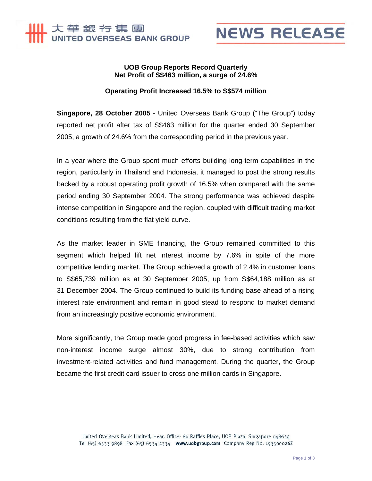



## **UOB Group Reports Record Quarterly Net Profit of S\$463 million, a surge of 24.6%**

## **Operating Profit Increased 16.5% to S\$574 million**

**Singapore, 28 October 2005** - United Overseas Bank Group ("The Group") today reported net profit after tax of S\$463 million for the quarter ended 30 September 2005, a growth of 24.6% from the corresponding period in the previous year.

In a year where the Group spent much efforts building long-term capabilities in the region, particularly in Thailand and Indonesia, it managed to post the strong results backed by a robust operating profit growth of 16.5% when compared with the same period ending 30 September 2004. The strong performance was achieved despite intense competition in Singapore and the region, coupled with difficult trading market conditions resulting from the flat yield curve.

As the market leader in SME financing, the Group remained committed to this segment which helped lift net interest income by 7.6% in spite of the more competitive lending market. The Group achieved a growth of 2.4% in customer loans to S\$65,739 million as at 30 September 2005, up from S\$64,188 million as at 31 December 2004. The Group continued to build its funding base ahead of a rising interest rate environment and remain in good stead to respond to market demand from an increasingly positive economic environment.

More significantly, the Group made good progress in fee-based activities which saw non-interest income surge almost 30%, due to strong contribution from investment-related activities and fund management. During the quarter, the Group became the first credit card issuer to cross one million cards in Singapore.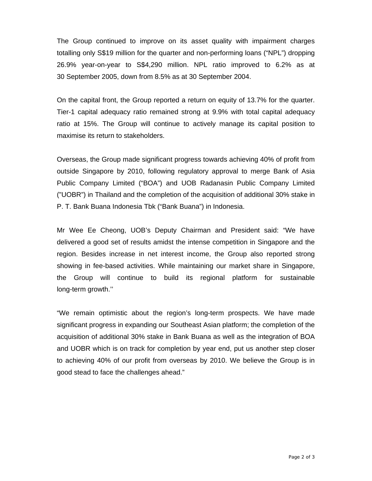The Group continued to improve on its asset quality with impairment charges totalling only S\$19 million for the quarter and non-performing loans ("NPL") dropping 26.9% year-on-year to S\$4,290 million. NPL ratio improved to 6.2% as at 30 September 2005, down from 8.5% as at 30 September 2004.

On the capital front, the Group reported a return on equity of 13.7% for the quarter. Tier-1 capital adequacy ratio remained strong at 9.9% with total capital adequacy ratio at 15%. The Group will continue to actively manage its capital position to maximise its return to stakeholders.

Overseas, the Group made significant progress towards achieving 40% of profit from outside Singapore by 2010, following regulatory approval to merge Bank of Asia Public Company Limited ("BOA") and UOB Radanasin Public Company Limited ("UOBR") in Thailand and the completion of the acquisition of additional 30% stake in P. T. Bank Buana Indonesia Tbk ("Bank Buana") in Indonesia.

Mr Wee Ee Cheong, UOB's Deputy Chairman and President said: "We have delivered a good set of results amidst the intense competition in Singapore and the region. Besides increase in net interest income, the Group also reported strong showing in fee-based activities. While maintaining our market share in Singapore, the Group will continue to build its regional platform for sustainable long-term growth.''

"We remain optimistic about the region's long-term prospects. We have made significant progress in expanding our Southeast Asian platform; the completion of the acquisition of additional 30% stake in Bank Buana as well as the integration of BOA and UOBR which is on track for completion by year end, put us another step closer to achieving 40% of our profit from overseas by 2010. We believe the Group is in good stead to face the challenges ahead."